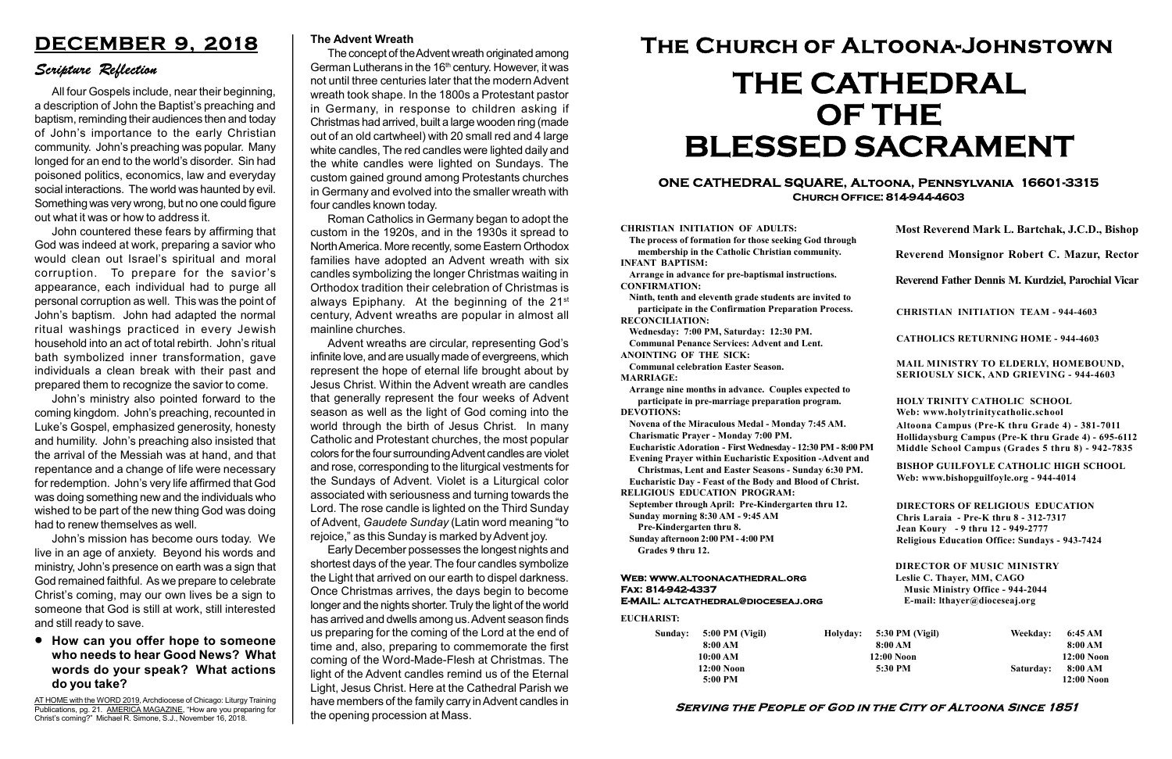#### Serving the People of God in the City of Altoona Since 1851

Sunday: 5:00 PM (Vigil) 8:00 AM 10:00 AM 12:00 Noon 5:00 PM Holyday:

#### Web: www.altoonacathedral.org Fax: 814-942-4337 E-MAIL: altcathedral@dioceseaj.org

EUCHARIST:

#### CHRISTIAN INITIATION OF ADULTS:

The process of formation for those seeking God through membership in the Catholic Christian community. INFANT BAPTISM:

Arrange in advance for pre-baptismal instructions. CONFIRMATION:

Ninth, tenth and eleventh grade students are invited to participate in the Confirmation Preparation Process. RECONCILIATION:

Wednesday: 7:00 PM, Saturday: 12:30 PM. Communal Penance Services: Advent and Lent. ANOINTING OF THE SICK:

Communal celebration Easter Season.

MARRIAGE:

Arrange nine months in advance. Couples expected to participate in pre-marriage preparation program. DEVOTIONS:

Novena of the Miraculous Medal - Monday 7:45 AM. Charismatic Prayer - Monday 7:00 PM.

Eucharistic Adoration - First Wednesday - 12:30 PM - 8:00 PM

Evening Prayer within Eucharistic Exposition -Advent and

Christmas, Lent and Easter Seasons - Sunday 6:30 PM.

|                         | Most Reverend Mark L. Bartchak, J.C.D., Bishop<br>Reverend Monsignor Robert C. Mazur, Rector                                                                                    |           |                         |
|-------------------------|---------------------------------------------------------------------------------------------------------------------------------------------------------------------------------|-----------|-------------------------|
|                         |                                                                                                                                                                                 |           |                         |
|                         | Reverend Father Dennis M. Kurdziel, Parochial Vicar                                                                                                                             |           |                         |
|                         | <b>CHRISTIAN INITIATION TEAM - 944-4603</b>                                                                                                                                     |           |                         |
|                         | <b>CATHOLICS RETURNING HOME - 944-4603</b>                                                                                                                                      |           |                         |
|                         | MAIL MINISTRY TO ELDERLY, HOMEBOUND,<br><b>SERIOUSLY SICK, AND GRIEVING - 944-4603</b>                                                                                          |           |                         |
|                         | <b>HOLY TRINITY CATHOLIC SCHOOL</b><br>Web: www.holytrinitycatholic.school                                                                                                      |           |                         |
| М                       | Altoona Campus (Pre-K thru Grade 4) - 381-7011<br>Hollidaysburg Campus (Pre-K thru Grade 4) - 695-6112<br>Middle School Campus (Grades 5 thru 8) - 942-7835                     |           |                         |
| ł                       | <b>BISHOP GUILFOYLE CATHOLIC HIGH SCHOOL</b><br>Web: www.bishopguilfoyle.org - 944-4014                                                                                         |           |                         |
|                         | <b>DIRECTORS OF RELIGIOUS EDUCATION</b><br>Chris Laraia - Pre-K thru 8 - 312-7317<br>Jean Koury - 9 thru 12 - 949-2777<br><b>Religious Education Office: Sundays - 943-7424</b> |           |                         |
|                         | <b>DIRECTOR OF MUSIC MINISTRY</b><br>Leslie C. Thayer, MM, CAGO<br><b>Music Ministry Office - 944-2044</b><br>E-mail: lthayer@dioceseaj.org                                     |           |                         |
| 5:30 PM (Vigil)         |                                                                                                                                                                                 | Weekday:  | 6:45 AM                 |
| 8:00 AM<br>$12:00$ Noon |                                                                                                                                                                                 |           | 8:00 AM<br>12:00 Noon   |
|                         | 5:30 PM                                                                                                                                                                         | Saturday: | 8:00 AM<br>$12:00$ Noon |
|                         |                                                                                                                                                                                 |           |                         |

Eucharistic Day - Feast of the Body and Blood of Christ. RELIGIOUS EDUCATION PROGRAM:

September through April: Pre-Kindergarten thru 12. Sunday morning 8:30 AM - 9:45 AM

Pre-Kindergarten thru 8.

Sunday afternoon 2:00 PM - 4:00 PM Grades 9 thru 12.

AT HOME with the WORD 2019, Archdiocese of Chicago: Liturgy Training Publications, pg. 21. AMERICA MAGAZINE, "How are you preparing for Christ's coming?" Michael R. Simone, S.J., November 16, 2018.

#### ONE CATHEDRAL SQUARE, Altoona, Pennsylvania 16601-3315 Church Office: 814-944-4603

# The Church of Altoona-Johnstown THE CATHEDRAL OF THE BLESSED SACRAMENT

#### How can you offer hope to someone who needs to hear Good News? What words do your speak? What actions do you take?

## DECEMBER 9, 2018

### Scripture Reflection

All four Gospels include, near their beginning, a description of John the Baptist's preaching and baptism, reminding their audiences then and today of John's importance to the early Christian community. John's preaching was popular. Many longed for an end to the world's disorder. Sin had poisoned politics, economics, law and everyday social interactions. The world was haunted by evil. Something was very wrong, but no one could figure out what it was or how to address it.

John countered these fears by affirming that God was indeed at work, preparing a savior who would clean out Israel's spiritual and moral corruption. To prepare for the savior's appearance, each individual had to purge all personal corruption as well. This was the point of John's baptism. John had adapted the normal ritual washings practiced in every Jewish household into an act of total rebirth. John's ritual bath symbolized inner transformation, gave individuals a clean break with their past and prepared them to recognize the savior to come.

John's ministry also pointed forward to the coming kingdom. John's preaching, recounted in Luke's Gospel, emphasized generosity, honesty and humility. John's preaching also insisted that the arrival of the Messiah was at hand, and that repentance and a change of life were necessary for redemption. John's very life affirmed that God was doing something new and the individuals who wished to be part of the new thing God was doing had to renew themselves as well.

John's mission has become ours today. We live in an age of anxiety. Beyond his words and ministry, John's presence on earth was a sign that God remained faithful. As we prepare to celebrate Christ's coming, may our own lives be a sign to someone that God is still at work, still interested and still ready to save.

#### The Advent Wreath

The concept of the Advent wreath originated among German Lutherans in the  $16<sup>th</sup>$  century. However, it was not until three centuries later that the modern Advent wreath took shape. In the 1800s a Protestant pastor in Germany, in response to children asking if Christmas had arrived, built a large wooden ring (made out of an old cartwheel) with 20 small red and 4 large white candles, The red candles were lighted daily and the white candles were lighted on Sundays. The custom gained ground among Protestants churches in Germany and evolved into the smaller wreath with four candles known today.

Roman Catholics in Germany began to adopt the custom in the 1920s, and in the 1930s it spread to North America. More recently, some Eastern Orthodox families have adopted an Advent wreath with six candles symbolizing the longer Christmas waiting in Orthodox tradition their celebration of Christmas is always Epiphany. At the beginning of the 21st century, Advent wreaths are popular in almost all mainline churches.

Advent wreaths are circular, representing God's infinite love, and are usually made of evergreens, which represent the hope of eternal life brought about by Jesus Christ. Within the Advent wreath are candles that generally represent the four weeks of Advent season as well as the light of God coming into the world through the birth of Jesus Christ. In many Catholic and Protestant churches, the most popular colors for the four surrounding Advent candles are violet and rose, corresponding to the liturgical vestments for the Sundays of Advent. Violet is a Liturgical color associated with seriousness and turning towards the Lord. The rose candle is lighted on the Third Sunday of Advent, Gaudete Sunday (Latin word meaning "to rejoice," as this Sunday is marked by Advent joy.

Early December possesses the longest nights and shortest days of the year. The four candles symbolize the Light that arrived on our earth to dispel darkness. Once Christmas arrives, the days begin to become longer and the nights shorter. Truly the light of the world has arrived and dwells among us. Advent season finds us preparing for the coming of the Lord at the end of time and, also, preparing to commemorate the first coming of the Word-Made-Flesh at Christmas. The light of the Advent candles remind us of the Eternal Light, Jesus Christ. Here at the Cathedral Parish we have members of the family carry in Advent candles in the opening procession at Mass.